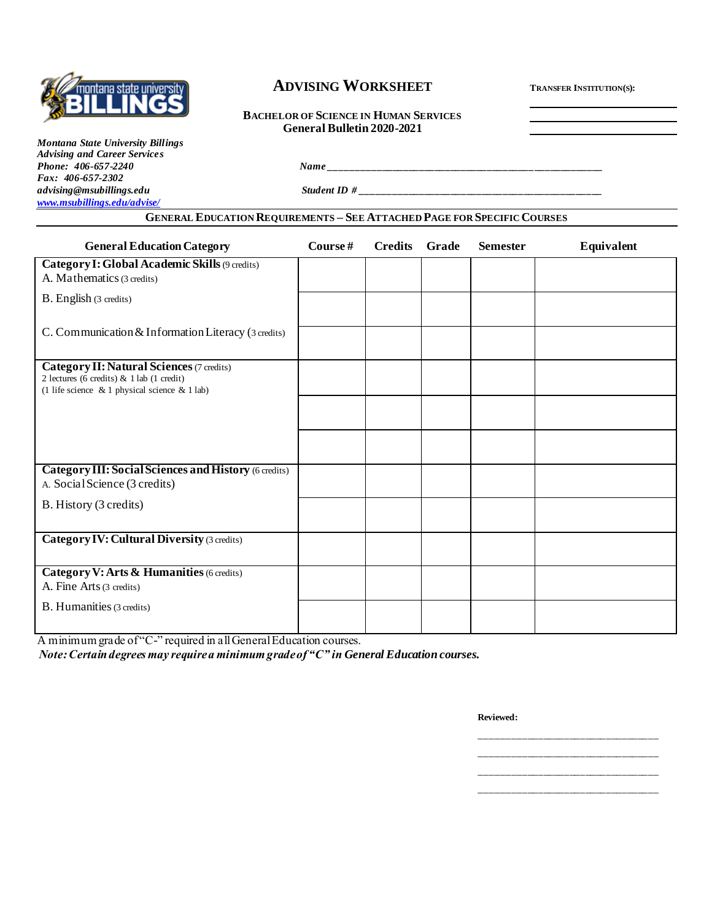

# **ADVISING WORKSHEET <sup>T</sup>RANSFER INSTITUTION(S):**

**BACHELOR OF SCIENCE IN HUMAN SERVICES General Bulletin 2020-2021**

*Montana State University Billings Advising and Career Services* **Phone: 406-657-2240** *Name Fax: 406-657-2302 advising@msubillings.edu Student ID # \_\_\_\_\_\_\_\_\_\_\_\_\_\_\_\_\_\_\_\_\_\_\_\_\_\_\_\_\_\_\_\_\_\_\_\_\_\_\_\_\_\_\_\_\_\_ [www.msubillings.edu/advise/](http://www.msubillings.edu/advise/)*

## **GENERAL EDUCATION REQUIREMENTS – SEE ATTACHED PAGE FOR SPECIFIC COURSES**

| <b>General Education Category</b>                                                                                                       | Course# | <b>Credits</b> | Grade | <b>Semester</b> | Equivalent |
|-----------------------------------------------------------------------------------------------------------------------------------------|---------|----------------|-------|-----------------|------------|
| Category I: Global Academic Skills (9 credits)<br>A. Mathematics (3 credits)                                                            |         |                |       |                 |            |
| B. English (3 credits)                                                                                                                  |         |                |       |                 |            |
| C. Communication & Information Literacy (3 credits)                                                                                     |         |                |       |                 |            |
| Category II: Natural Sciences (7 credits)<br>2 lectures (6 credits) & 1 lab (1 credit)<br>(1 life science & 1 physical science & 1 lab) |         |                |       |                 |            |
|                                                                                                                                         |         |                |       |                 |            |
|                                                                                                                                         |         |                |       |                 |            |
| <b>Category III: Social Sciences and History (6 credits)</b><br>A. Social Science (3 credits)                                           |         |                |       |                 |            |
| B. History (3 credits)                                                                                                                  |         |                |       |                 |            |
| <b>Category IV: Cultural Diversity (3 credits)</b>                                                                                      |         |                |       |                 |            |
| Category V: Arts & Humanities (6 credits)<br>A. Fine Arts (3 credits)                                                                   |         |                |       |                 |            |
| B. Humanities (3 credits)                                                                                                               |         |                |       |                 |            |

A minimum grade of "C-" required in all General Education courses.

*Note: Certain degrees may require a minimum grade of "C" in General Education courses.*

**Reviewed:**

\_\_\_\_\_\_\_\_\_\_\_\_\_\_\_\_\_\_\_\_\_\_\_\_\_\_\_\_\_\_\_\_\_\_ \_\_\_\_\_\_\_\_\_\_\_\_\_\_\_\_\_\_\_\_\_\_\_\_\_\_\_\_\_\_\_\_\_\_ \_\_\_\_\_\_\_\_\_\_\_\_\_\_\_\_\_\_\_\_\_\_\_\_\_\_\_\_\_\_\_\_\_\_ \_\_\_\_\_\_\_\_\_\_\_\_\_\_\_\_\_\_\_\_\_\_\_\_\_\_\_\_\_\_\_\_\_\_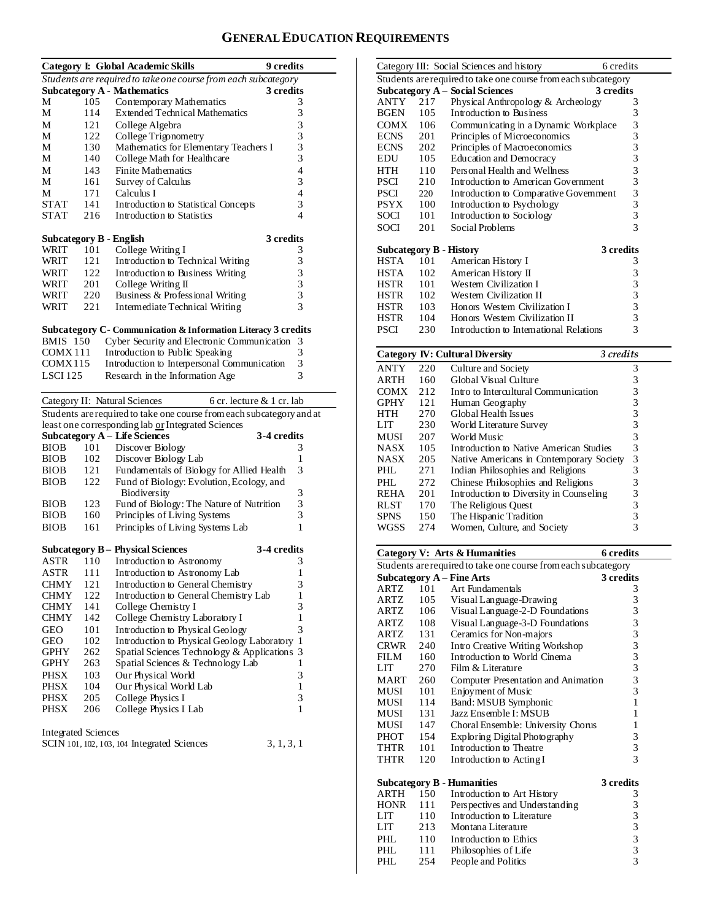# **GENERAL EDUCATION REQUIREMENTS**

|                                |     | <b>Category I: Global Academic Skills</b><br><b>9</b> credits         |                                            |
|--------------------------------|-----|-----------------------------------------------------------------------|--------------------------------------------|
|                                |     | Students are required to take one course from each subcategory        |                                            |
|                                |     | <b>Subcategory A - Mathematics</b><br>3 credits                       |                                            |
| М                              | 105 | Contemporary Mathematics                                              | 3                                          |
| М                              | 114 | <b>Extended Technical Mathematics</b>                                 | 3                                          |
| М                              | 121 | College Algebra                                                       |                                            |
| М                              | 122 | College Trigonometry                                                  | $\frac{3}{3}$                              |
| М                              | 130 | Mathematics for Elementary Teachers I                                 |                                            |
| М                              | 140 | College Math for Healthcare                                           | $\frac{3}{3}$                              |
| М                              | 143 | <b>Finite Mathematics</b>                                             | $\overline{\mathcal{L}}$                   |
| М                              | 161 | Survey of Calculus                                                    | 3                                          |
| М                              | 171 | Calculus I                                                            | $\overline{\mathcal{L}}$                   |
| <b>STAT</b>                    | 141 | Introduction to Statistical Concepts                                  | 3                                          |
| <b>STAT</b>                    | 216 | Introduction to Statistics                                            | 4                                          |
|                                |     |                                                                       |                                            |
| <b>Subcategory B - English</b> |     | 3 credits                                                             |                                            |
| WRIT                           | 101 | College Writing I                                                     | 3                                          |
| <b>WRIT</b>                    | 121 | Introduction to Technical Writing                                     | 3                                          |
| WRIT                           | 122 | Introduction to Business Writing                                      |                                            |
| WRIT                           | 201 | College Writing II                                                    |                                            |
| WRIT                           | 220 | Business & Professional Writing                                       | $\begin{array}{c} 3 \\ 3 \\ 3 \end{array}$ |
| WRIT                           | 221 | Intermediate Technical Writing                                        | $\overline{3}$                             |
|                                |     |                                                                       |                                            |
|                                |     | Subcategory C- Communication & Information Literacy 3 credits         |                                            |
| <b>BMIS</b> 150                |     | Cyber Security and Electronic Communication                           | 3                                          |
| COMX <sub>111</sub>            |     | Introduction to Public Speaking                                       | 3                                          |
| COMX115                        |     | Introduction to Interpersonal Communication                           | 3                                          |
| LSCI 125                       |     | Research in the Information Age                                       | 3                                          |
|                                |     |                                                                       |                                            |
|                                |     | Category II: Natural Sciences<br>6 cr. lecture & 1 cr. lab            |                                            |
|                                |     | Students are required to take one course from each subcategory and at |                                            |
|                                |     | least one corresponding lab or Integrated Sciences                    |                                            |
|                                |     | Subcategory A - Life Sciences<br>3-4 credits                          |                                            |
| <b>BIOB</b>                    | 101 | Discover Biology                                                      | 3                                          |
| <b>BIOB</b>                    | 102 | Discover Biology Lab                                                  | 1                                          |
| <b>BIOB</b>                    | 121 | Fundamentals of Biology for Allied Health                             | 3                                          |
| <b>BIOB</b>                    | 122 | Fund of Biology: Evolution, Ecology, and                              |                                            |
|                                |     | Biodiversity                                                          | 3                                          |
| <b>BIOB</b>                    | 123 | Fund of Biology: The Nature of Nutrition                              |                                            |
| <b>BIOB</b>                    | 160 | Principles of Living Systems                                          | $\frac{3}{3}$                              |
| <b>BIOB</b>                    | 161 | Principles of Living Systems Lab                                      | 1                                          |
|                                |     |                                                                       |                                            |
|                                |     | <b>3-4 credits</b><br>Subcategory B – Physical Sciences               |                                            |
| ASTR                           | 110 | Introduction to Astronomy                                             | 3                                          |
| <b>ASTR</b>                    | 111 | Introduction to Astronomy Lab                                         | 1                                          |
| <b>CHMY</b>                    | 121 | Introduction to General Chemistry                                     | 3                                          |
| CHMY                           | 122 | Introduction to General Chemistry Lab                                 | 1                                          |
| <b>CHMY</b>                    | 141 | College Chemistry I                                                   | 3                                          |
| CHMY                           | 142 | College Chemistry Laboratory I                                        | 1                                          |
| GEO                            | 101 | Introduction to Physical Geology                                      | 3                                          |
| GEO                            |     |                                                                       | 1                                          |
|                                |     |                                                                       |                                            |
|                                | 102 | Introduction to Physical Geology Laboratory                           |                                            |
| GPHY                           | 262 | Spatial Sciences Technology & Applications                            | 3                                          |
| GPHY                           | 263 | Spatial Sciences & Technology Lab                                     | 1                                          |
| <b>PHSX</b>                    | 103 | Our Physical World                                                    | 3                                          |
| <b>PHSX</b>                    | 104 | Our Physical World Lab                                                | 1                                          |
| <b>PHSX</b>                    | 205 | College Physics I                                                     | 3                                          |
| <b>PHSX</b>                    | 206 | College Physics I Lab                                                 | 1                                          |
|                                |     |                                                                       |                                            |
| Integrated Sciences            |     | SCIN 101, 102, 103, 104 Integrated Sciences<br>3, 1, 3, 1             |                                            |

|                                                                |                                                     | Category III: Social Sciences and history | 6 credits                                       |  |  |  |  |
|----------------------------------------------------------------|-----------------------------------------------------|-------------------------------------------|-------------------------------------------------|--|--|--|--|
| Students are required to take one course from each subcategory |                                                     |                                           |                                                 |  |  |  |  |
|                                                                |                                                     | Subcategory A – Social Sciences           | 3 credits                                       |  |  |  |  |
| ANTY                                                           | 217                                                 | Physical Anthropology & Archeology        | 3                                               |  |  |  |  |
| BGEN                                                           | 105                                                 | Introduction to Business                  | 3                                               |  |  |  |  |
| <b>COMX</b>                                                    | 106                                                 | Communicating in a Dynamic Workplace      | $\begin{array}{c} 3 \\ 3 \\ 3 \end{array}$      |  |  |  |  |
| ECNS                                                           | 201                                                 | Principles of Microeconomics              |                                                 |  |  |  |  |
| <b>ECNS</b>                                                    | 202                                                 | Principles of Macroeconomics              |                                                 |  |  |  |  |
| <b>EDU</b>                                                     | 105                                                 | Education and Democracy                   | 3                                               |  |  |  |  |
| <b>HTH</b>                                                     | 110                                                 | Personal Health and Wellness              | 3                                               |  |  |  |  |
| <b>PSCI</b>                                                    | 210                                                 | Introduction to American Government       |                                                 |  |  |  |  |
| <b>PSCI</b>                                                    | 220                                                 | Introduction to Comparative Government    | $\begin{array}{c} 3 \\ 3 \\ 3 \\ 3 \end{array}$ |  |  |  |  |
| <b>PSYX</b>                                                    | 100                                                 | Introduction to Psychology                |                                                 |  |  |  |  |
| SOCI                                                           | 101                                                 | Introduction to Sociology                 |                                                 |  |  |  |  |
| SOCI                                                           | 201                                                 | Social Problems                           | 3                                               |  |  |  |  |
| <b>Subcategory B - History</b>                                 |                                                     |                                           | 3 credits                                       |  |  |  |  |
| <b>HSTA</b>                                                    | 101                                                 | American History I                        | 3                                               |  |  |  |  |
| <b>HSTA</b>                                                    | 102                                                 | American History II                       | 3                                               |  |  |  |  |
| <b>HSTR</b>                                                    | 101                                                 | Western Civilization I                    |                                                 |  |  |  |  |
| HSTR                                                           | 102                                                 | Western Civilization II                   | $\begin{array}{c} 3 \\ 3 \\ 3 \\ 3 \end{array}$ |  |  |  |  |
| HSTR                                                           | 103                                                 | Honors Western Civilization I             |                                                 |  |  |  |  |
| <b>HSTR</b>                                                    | 104                                                 | Honors Western Civilization II            |                                                 |  |  |  |  |
| <b>PSCI</b>                                                    | 230                                                 | Introduction to International Relations   | 3                                               |  |  |  |  |
|                                                                | <b>Category IV: Cultural Diversity</b><br>3 credits |                                           |                                                 |  |  |  |  |

|             |     | Category IV: Cultural Diversity          | 3 credits |  |
|-------------|-----|------------------------------------------|-----------|--|
| <b>ANTY</b> | 220 | Culture and Society                      | 3         |  |
| <b>ARTH</b> | 160 | Global Visual Culture                    | 3         |  |
| <b>COMX</b> | 212 | Intro to Intercultural Communication     | 3         |  |
| <b>GPHY</b> | 121 | Human Geography                          | 3         |  |
| <b>HTH</b>  | 270 | Global Health Issues                     | 3         |  |
| LIT         | 230 | World Literature Survey                  | 3         |  |
| MUSI        | 207 | World Music                              | 3         |  |
| <b>NASX</b> | 105 | Introduction to Native American Studies  | 3         |  |
| <b>NASX</b> | 205 | Native Americans in Contemporary Society | 3         |  |
| PHL.        | 271 | Indian Philosophies and Religions        | 3         |  |
| PHL         | 272 | Chinese Philosophies and Religions       | 3         |  |
| <b>REHA</b> | 201 | Introduction to Diversity in Counseling  | 3         |  |
| <b>RLST</b> | 170 | The Religious Quest                      | 3         |  |
| <b>SPNS</b> | 150 | The Hispanic Tradition                   | 3         |  |
| WGSS        | 274 | Women, Culture, and Society              | 3         |  |
|             |     |                                          |           |  |

|                                                                |     | <b>Category V: Arts &amp; Humanities</b> | <b>6</b> credits                           |  |  |  |  |
|----------------------------------------------------------------|-----|------------------------------------------|--------------------------------------------|--|--|--|--|
| Students are required to take one course from each subcategory |     |                                          |                                            |  |  |  |  |
|                                                                |     | <b>Subcategory A - Fine Arts</b>         | 3 credits                                  |  |  |  |  |
| ARTZ                                                           | 101 | Art Fundamentals                         | 3                                          |  |  |  |  |
| ARTZ                                                           | 105 | Visual Language-Drawing                  | $\frac{3}{3}$                              |  |  |  |  |
| ARTZ                                                           | 106 | Visual Language-2-D Foundations          |                                            |  |  |  |  |
| ARTZ                                                           | 108 | Visual Language-3-D Foundations          | 3                                          |  |  |  |  |
| ARTZ                                                           | 131 | Ceramics for Non-majors                  | $\frac{3}{3}$                              |  |  |  |  |
| CRWR                                                           | 240 | Intro Creative Writing Workshop          |                                            |  |  |  |  |
| FILM <b>FILM</b>                                               | 160 | Introduction to World Cinema             | 3                                          |  |  |  |  |
| LIT                                                            | 270 | Film & Literature                        | $\overline{3}$                             |  |  |  |  |
| <b>MART</b>                                                    | 260 | Computer Presentation and Animation      | 3                                          |  |  |  |  |
| MUSI                                                           | 101 | Enjoyment of Music                       | 3                                          |  |  |  |  |
| MUSI                                                           | 114 | Band: MSUB Symphonic                     | $\mathbf{1}$                               |  |  |  |  |
| MUSI                                                           | 131 | Jazz Ensemble I: MSUB                    | 1                                          |  |  |  |  |
| MUSI                                                           | 147 | Choral Ensemble: University Chorus       | 1                                          |  |  |  |  |
| PHOT                                                           | 154 | Exploring Digital Photography            | 3                                          |  |  |  |  |
| THTR                                                           | 101 | Introduction to Theatre                  | $\overline{\mathbf{3}}$                    |  |  |  |  |
| THTR                                                           | 120 | Introduction to Acting I                 | 3                                          |  |  |  |  |
|                                                                |     | <b>Subcategory B - Humanities</b>        | 3 credits                                  |  |  |  |  |
| ARTH                                                           | 150 | Introduction to Art History              | 3                                          |  |  |  |  |
| <b>HONR</b>                                                    | 111 | Perspectives and Understanding           |                                            |  |  |  |  |
| LIT                                                            | 110 | Introduction to Literature               |                                            |  |  |  |  |
| LIT <sub>1</sub>                                               | 213 | Montana Literature                       | $\begin{array}{c} 3 \\ 3 \\ 3 \end{array}$ |  |  |  |  |
| PHL                                                            | 110 | Introduction to Ethics                   |                                            |  |  |  |  |
| PHL.                                                           | 111 | Philosophies of Life                     | $\frac{3}{3}$                              |  |  |  |  |
| PHI.                                                           | 254 | People and Politics                      | 3                                          |  |  |  |  |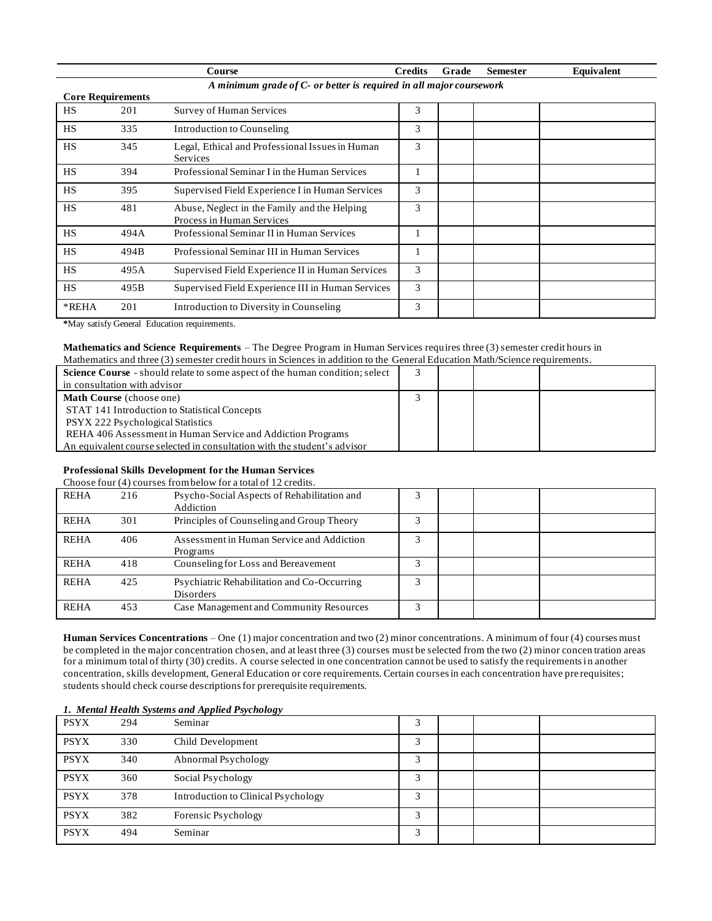|           |                                                                                                 | Course                                                                    | <b>Credits</b> | Grade | <b>Semester</b> | Equivalent |  |  |  |
|-----------|-------------------------------------------------------------------------------------------------|---------------------------------------------------------------------------|----------------|-------|-----------------|------------|--|--|--|
|           | A minimum grade of C- or better is required in all major coursework<br><b>Core Requirements</b> |                                                                           |                |       |                 |            |  |  |  |
| <b>HS</b> | 201                                                                                             | Survey of Human Services                                                  | 3              |       |                 |            |  |  |  |
| <b>HS</b> | 335                                                                                             | Introduction to Counseling                                                | 3              |       |                 |            |  |  |  |
| <b>HS</b> | 345                                                                                             | Legal, Ethical and Professional Issues in Human<br>Services               | 3              |       |                 |            |  |  |  |
| <b>HS</b> | 394                                                                                             | Professional Seminar I in the Human Services                              |                |       |                 |            |  |  |  |
| <b>HS</b> | 395                                                                                             | Supervised Field Experience I in Human Services                           | 3              |       |                 |            |  |  |  |
| <b>HS</b> | 481                                                                                             | Abuse, Neglect in the Family and the Helping<br>Process in Human Services | 3              |       |                 |            |  |  |  |
| <b>HS</b> | 494A                                                                                            | Professional Seminar II in Human Services                                 |                |       |                 |            |  |  |  |
| <b>HS</b> | 494B                                                                                            | Professional Seminar III in Human Services                                |                |       |                 |            |  |  |  |
| <b>HS</b> | 495A                                                                                            | Supervised Field Experience II in Human Services                          | 3              |       |                 |            |  |  |  |
| <b>HS</b> | 495B                                                                                            | Supervised Field Experience III in Human Services                         | 3              |       |                 |            |  |  |  |
| *REHA     | 201                                                                                             | Introduction to Diversity in Counseling                                   | 3              |       |                 |            |  |  |  |

**\***May satisfy General Education requirements.

#### **Mathematics and Science Requirements** – The Degree Program in Human Services requires three (3) semester credit hours in Mathematics and three (3) semester credit hours in Sciences in addition to the General Education Math/Science requirements.

| Science Course - should relate to some aspect of the human condition; select<br>in consultation with advisor |  |  |
|--------------------------------------------------------------------------------------------------------------|--|--|
| <b>Math Course</b> (choose one)                                                                              |  |  |
| STAT 141 Introduction to Statistical Concepts                                                                |  |  |
| PSYX 222 Psychological Statistics                                                                            |  |  |
| REHA 406 Assessment in Human Service and Addiction Programs                                                  |  |  |
| An equivalent course selected in consultation with the student's advisor                                     |  |  |

# **Professional Skills Development for the Human Services**

|             |     | Choose four (4) courses from below for a total of 12 credits. |   |  |  |
|-------------|-----|---------------------------------------------------------------|---|--|--|
| <b>REHA</b> | 216 | Psycho-Social Aspects of Rehabilitation and<br>Addiction      |   |  |  |
| <b>REHA</b> | 301 | Principles of Counseling and Group Theory                     |   |  |  |
| <b>REHA</b> | 406 | Assessment in Human Service and Addiction<br>Programs         |   |  |  |
| <b>REHA</b> | 418 | Counseling for Loss and Bereavement                           |   |  |  |
| <b>REHA</b> | 425 | Psychiatric Rehabilitation and Co-Occurring<br>Disorders      |   |  |  |
| <b>REHA</b> | 453 | Case Management and Community Resources                       | 3 |  |  |

**Human Services Concentrations** – One (1) major concentration and two (2) minor concentrations. A minimum of four (4) courses must be completed in the major concentration chosen, and at least three (3) courses must be selected from the two (2) minor concen tration areas for a minimum total of thirty (30) credits. A course selected in one concentration cannot be used to satisfy the requirements in another concentration, skills development, General Education or core requirements. Certain courses in each concentration have pre requisites; students should check course descriptions for prerequisite requirements.

### *1. Mental Health Systems and Applied Psychology*

| <b>PSYX</b> | 294 | Seminar                             | 3 |  |  |
|-------------|-----|-------------------------------------|---|--|--|
| <b>PSYX</b> | 330 | Child Development                   | 3 |  |  |
| <b>PSYX</b> | 340 | Abnormal Psychology                 | 2 |  |  |
| <b>PSYX</b> | 360 | Social Psychology                   | 2 |  |  |
| <b>PSYX</b> | 378 | Introduction to Clinical Psychology | Р |  |  |
| <b>PSYX</b> | 382 | Forensic Psychology                 | 3 |  |  |
| <b>PSYX</b> | 494 | Seminar                             | 2 |  |  |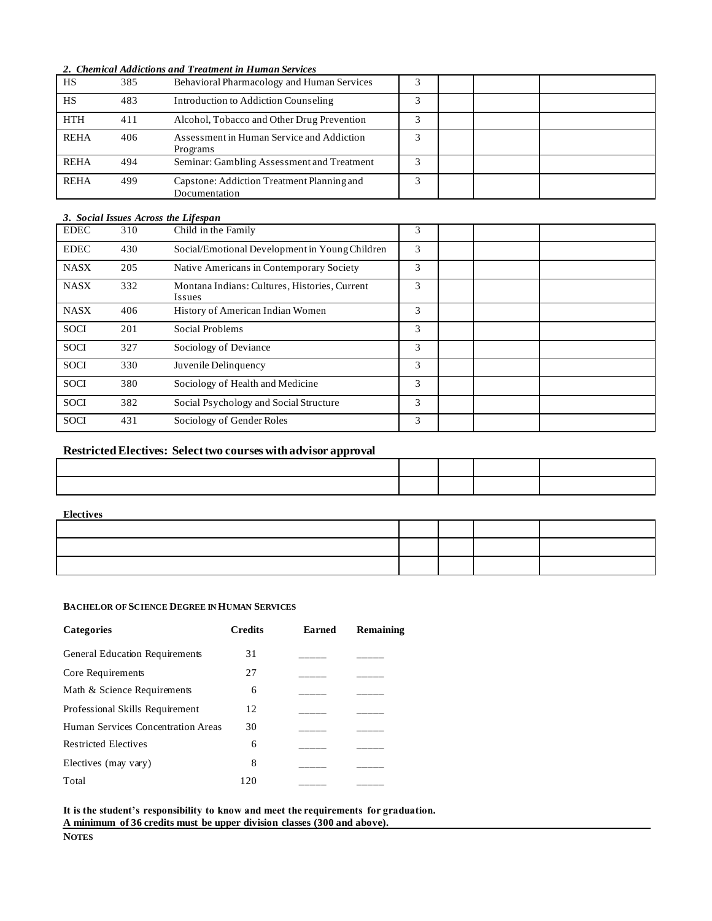*2. Chemical Addictions and Treatment in Human Services*

| HS          | 385 | Behavioral Pharmacology and Human Services                  |  |  |
|-------------|-----|-------------------------------------------------------------|--|--|
| <b>HS</b>   | 483 | Introduction to Addiction Counseling                        |  |  |
| <b>HTH</b>  | 411 | Alcohol, Tobacco and Other Drug Prevention                  |  |  |
| <b>REHA</b> | 406 | Assessment in Human Service and Addiction<br>Programs       |  |  |
| <b>REHA</b> | 494 | Seminar: Gambling Assessment and Treatment                  |  |  |
| <b>REHA</b> | 499 | Capstone: Addiction Treatment Planning and<br>Documentation |  |  |

#### *3. Social Issues Across the Lifespan*

| <b>EDEC</b> | 310 | Child in the Family                                            | 3 |  |  |
|-------------|-----|----------------------------------------------------------------|---|--|--|
| <b>EDEC</b> | 430 | Social/Emotional Development in Young Children                 | 3 |  |  |
| <b>NASX</b> | 205 | Native Americans in Contemporary Society                       | 3 |  |  |
| <b>NASX</b> | 332 | Montana Indians: Cultures, Histories, Current<br><i>Issues</i> | 3 |  |  |
| <b>NASX</b> | 406 | History of American Indian Women                               | 3 |  |  |
| <b>SOCI</b> | 201 | Social Problems                                                | 3 |  |  |
| <b>SOCI</b> | 327 | Sociology of Deviance                                          | 3 |  |  |
| <b>SOCI</b> | 330 | Juvenile Delinquency                                           | 3 |  |  |
| <b>SOCI</b> | 380 | Sociology of Health and Medicine                               | 3 |  |  |
| <b>SOCI</b> | 382 | Social Psychology and Social Structure                         | 3 |  |  |
| <b>SOCI</b> | 431 | Sociology of Gender Roles                                      | 3 |  |  |

## **Restricted Electives: Select two courses with advisor approval**

#### **Electives**

### **BACHELOR OF SCIENCE DEGREE IN HUMAN SERVICES**

| <b>Categories</b>                  | <b>Credits</b> | Earned | Remaining |
|------------------------------------|----------------|--------|-----------|
| General Education Requirements     | 31             |        |           |
| Core Requirements                  | 27             |        |           |
| Math & Science Requirements        | 6              |        |           |
| Professional Skills Requirement    | 12             |        |           |
| Human Services Concentration Areas | 30             |        |           |
| <b>Restricted Electives</b>        | 6              |        |           |
| Electives (may vary)               | 8              |        |           |
| Total                              | 120            |        |           |

**It is the student's responsibility to know and meet the requirements for graduation. A minimum of 36 credits must be upper division classes (300 and above).**